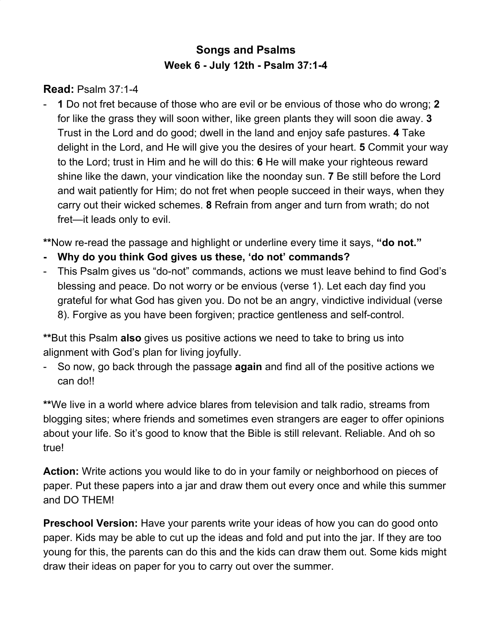## **Songs and Psalms Week 6 - July 12th - Psalm 37:1-4**

**Read:** Psalm 37:1-4

- **1** Do not fret because of those who are evil or be envious of those who do wrong; **2** for like the grass they will soon wither, like green plants they will soon die away. **3** Trust in the Lord and do good; dwell in the land and enjoy safe pastures. **4** Take delight in the Lord, and He will give you the desires of your heart. **5** Commit your way to the Lord; trust in Him and he will do this: **6** He will make your righteous reward shine like the dawn, your vindication like the noonday sun. **7** Be still before the Lord and wait patiently for Him; do not fret when people succeed in their ways, when they carry out their wicked schemes. **8** Refrain from anger and turn from wrath; do not fret—it leads only to evil.

**\*\***Now re-read the passage and highlight or underline every time it says, **"do not."**

- **- Why do you think God gives us these, 'do not' commands?**
- This Psalm gives us "do-not" commands, actions we must leave behind to find God's blessing and peace. Do not worry or be envious (verse 1). Let each day find you grateful for what God has given you. Do not be an angry, vindictive individual (verse 8). Forgive as you have been forgiven; practice gentleness and self-control.

**\*\***But this Psalm **also** gives us positive actions we need to take to bring us into alignment with God's plan for living joyfully.

- So now, go back through the passage **again** and find all of the positive actions we can do!!

**\*\***We live in a world where advice blares from television and talk radio, streams from blogging sites; where friends and sometimes even strangers are eager to offer opinions about your life. So it's good to know that the Bible is still relevant. Reliable. And oh so true!

**Action:** Write actions you would like to do in your family or neighborhood on pieces of paper. Put these papers into a jar and draw them out every once and while this summer and DO THEM!

**Preschool Version:** Have your parents write your ideas of how you can do good onto paper. Kids may be able to cut up the ideas and fold and put into the jar. If they are too young for this, the parents can do this and the kids can draw them out. Some kids might draw their ideas on paper for you to carry out over the summer.